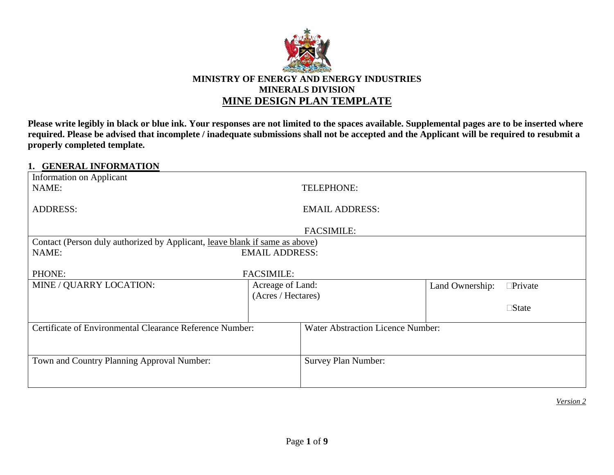

**Please write legibly in black or blue ink. Your responses are not limited to the spaces available. Supplemental pages are to be inserted where required. Please be advised that incomplete / inadequate submissions shall not be accepted and the Applicant will be required to resubmit a properly completed template.**

## **1. GENERAL INFORMATION**

|                                                          | <b>EMAIL ADDRESS:</b>      |                                                                                                                    |                |
|----------------------------------------------------------|----------------------------|--------------------------------------------------------------------------------------------------------------------|----------------|
|                                                          |                            |                                                                                                                    |                |
|                                                          | <b>FACSIMILE:</b>          |                                                                                                                    |                |
|                                                          |                            |                                                                                                                    |                |
|                                                          |                            |                                                                                                                    |                |
|                                                          |                            |                                                                                                                    |                |
| <b>FACSIMILE:</b>                                        |                            |                                                                                                                    |                |
| Acreage of Land:                                         |                            | Land Ownership:                                                                                                    | $\Box$ Private |
| (Acres / Hectares)                                       |                            |                                                                                                                    |                |
|                                                          |                            |                                                                                                                    | $\Box$ State   |
|                                                          |                            |                                                                                                                    |                |
| Certificate of Environmental Clearance Reference Number: |                            | <b>Water Abstraction Licence Number:</b>                                                                           |                |
|                                                          |                            |                                                                                                                    |                |
|                                                          |                            |                                                                                                                    |                |
|                                                          | <b>Survey Plan Number:</b> |                                                                                                                    |                |
|                                                          |                            |                                                                                                                    |                |
|                                                          |                            |                                                                                                                    |                |
|                                                          |                            | TELEPHONE:<br>Contact (Person duly authorized by Applicant, leave blank if same as above)<br><b>EMAIL ADDRESS:</b> |                |

*Version 2*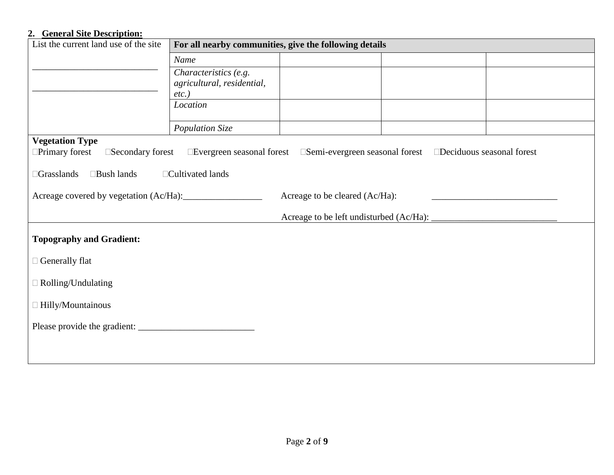# **2. General Site Description:**

| List the current land use of the site                       | For all nearby communities, give the following details |  |                                                                                       |  |
|-------------------------------------------------------------|--------------------------------------------------------|--|---------------------------------------------------------------------------------------|--|
|                                                             | Name                                                   |  |                                                                                       |  |
|                                                             | Characteristics (e.g.                                  |  |                                                                                       |  |
|                                                             | agricultural, residential,<br>$etc.$ )                 |  |                                                                                       |  |
|                                                             | Location                                               |  |                                                                                       |  |
|                                                             |                                                        |  |                                                                                       |  |
|                                                             | Population Size                                        |  |                                                                                       |  |
| <b>Vegetation Type</b>                                      |                                                        |  |                                                                                       |  |
| $\Box$ Primary forest<br>□Secondary forest                  |                                                        |  | □Evergreen seasonal forest □Semi-evergreen seasonal forest □Deciduous seasonal forest |  |
| □Bush lands<br>$\Box$ Cultivated lands<br>$\Box$ Grasslands |                                                        |  |                                                                                       |  |
| Acreage to be cleared (Ac/Ha):                              |                                                        |  |                                                                                       |  |
|                                                             |                                                        |  |                                                                                       |  |
| <b>Topography and Gradient:</b>                             |                                                        |  |                                                                                       |  |
| $\Box$ Generally flat                                       |                                                        |  |                                                                                       |  |
| $\Box$ Rolling/Undulating                                   |                                                        |  |                                                                                       |  |
| $\Box$ Hilly/Mountainous                                    |                                                        |  |                                                                                       |  |
|                                                             |                                                        |  |                                                                                       |  |
|                                                             |                                                        |  |                                                                                       |  |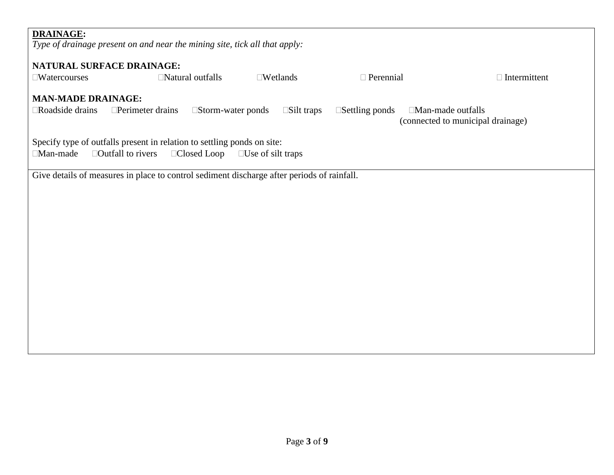| <b>DRAINAGE:</b>                      |                                                                                            |                          |                          |                                                               |
|---------------------------------------|--------------------------------------------------------------------------------------------|--------------------------|--------------------------|---------------------------------------------------------------|
|                                       | Type of drainage present on and near the mining site, tick all that apply:                 |                          |                          |                                                               |
| <b>NATURAL SURFACE DRAINAGE:</b>      |                                                                                            |                          |                          |                                                               |
| $\square$ Watercourses                | $\Box$ Natural outfalls                                                                    | $\square$ Wetlands       | $\Box$ Perennial         | $\Box$ Intermittent                                           |
|                                       |                                                                                            |                          |                          |                                                               |
| <b>MAN-MADE DRAINAGE:</b>             |                                                                                            |                          |                          |                                                               |
| Roadside drains                       | $\Box$ Perimeter drains<br>$\square$ Storm-water ponds                                     | $\square$ Silt traps     | $\square$ Settling ponds | $\Box$ Man-made outfalls<br>(connected to municipal drainage) |
|                                       | Specify type of outfalls present in relation to settling ponds on site:                    |                          |                          |                                                               |
| □Man-made<br>$\Box$ Outfall to rivers | □Closed Loop                                                                               | $\Box$ Use of silt traps |                          |                                                               |
|                                       | Give details of measures in place to control sediment discharge after periods of rainfall. |                          |                          |                                                               |
|                                       |                                                                                            |                          |                          |                                                               |
|                                       |                                                                                            |                          |                          |                                                               |
|                                       |                                                                                            |                          |                          |                                                               |
|                                       |                                                                                            |                          |                          |                                                               |
|                                       |                                                                                            |                          |                          |                                                               |
|                                       |                                                                                            |                          |                          |                                                               |
|                                       |                                                                                            |                          |                          |                                                               |
|                                       |                                                                                            |                          |                          |                                                               |
|                                       |                                                                                            |                          |                          |                                                               |
|                                       |                                                                                            |                          |                          |                                                               |
|                                       |                                                                                            |                          |                          |                                                               |
|                                       |                                                                                            |                          |                          |                                                               |
|                                       |                                                                                            |                          |                          |                                                               |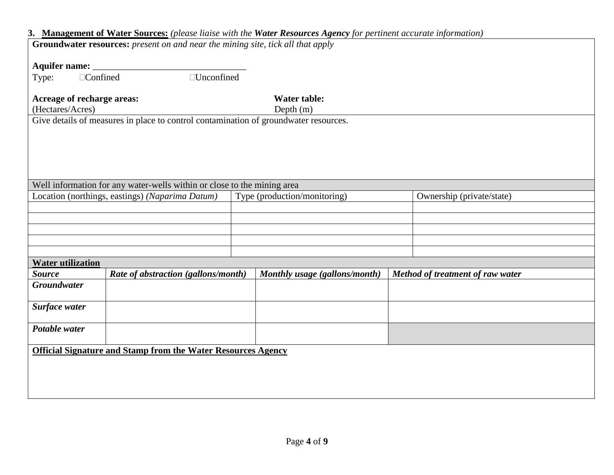|                                                                                      | 3. Management of Water Sources: (please liaise with the Water Resources Agency for pertinent accurate information) |                                  |  |  |  |  |
|--------------------------------------------------------------------------------------|--------------------------------------------------------------------------------------------------------------------|----------------------------------|--|--|--|--|
|                                                                                      | <b>Groundwater resources:</b> present on and near the mining site, tick all that apply                             |                                  |  |  |  |  |
|                                                                                      |                                                                                                                    |                                  |  |  |  |  |
| Aquifer name:                                                                        |                                                                                                                    |                                  |  |  |  |  |
| □Unconfined<br>□Confined<br>Type:                                                    |                                                                                                                    |                                  |  |  |  |  |
|                                                                                      |                                                                                                                    |                                  |  |  |  |  |
| Acreage of recharge areas:                                                           | <b>Water table:</b>                                                                                                |                                  |  |  |  |  |
| (Hectares/Acres)                                                                     | Depth $(m)$                                                                                                        |                                  |  |  |  |  |
| Give details of measures in place to control contamination of groundwater resources. |                                                                                                                    |                                  |  |  |  |  |
|                                                                                      |                                                                                                                    |                                  |  |  |  |  |
|                                                                                      |                                                                                                                    |                                  |  |  |  |  |
|                                                                                      |                                                                                                                    |                                  |  |  |  |  |
|                                                                                      |                                                                                                                    |                                  |  |  |  |  |
|                                                                                      |                                                                                                                    |                                  |  |  |  |  |
|                                                                                      |                                                                                                                    |                                  |  |  |  |  |
| Well information for any water-wells within or close to the mining area              |                                                                                                                    |                                  |  |  |  |  |
| Location (northings, eastings) (Naparima Datum)                                      | Type (production/monitoring)                                                                                       | Ownership (private/state)        |  |  |  |  |
|                                                                                      |                                                                                                                    |                                  |  |  |  |  |
|                                                                                      |                                                                                                                    |                                  |  |  |  |  |
|                                                                                      |                                                                                                                    |                                  |  |  |  |  |
|                                                                                      |                                                                                                                    |                                  |  |  |  |  |
|                                                                                      |                                                                                                                    |                                  |  |  |  |  |
| <b>Water utilization</b>                                                             |                                                                                                                    |                                  |  |  |  |  |
| <b>Source</b><br>Rate of abstraction (gallons/month)                                 | Monthly usage (gallons/month)                                                                                      | Method of treatment of raw water |  |  |  |  |
| <b>Groundwater</b>                                                                   |                                                                                                                    |                                  |  |  |  |  |
|                                                                                      |                                                                                                                    |                                  |  |  |  |  |
| Surface water                                                                        |                                                                                                                    |                                  |  |  |  |  |
|                                                                                      |                                                                                                                    |                                  |  |  |  |  |
| Potable water                                                                        |                                                                                                                    |                                  |  |  |  |  |
|                                                                                      |                                                                                                                    |                                  |  |  |  |  |
|                                                                                      |                                                                                                                    |                                  |  |  |  |  |
|                                                                                      |                                                                                                                    |                                  |  |  |  |  |
| <b>Official Signature and Stamp from the Water Resources Agency</b>                  |                                                                                                                    |                                  |  |  |  |  |
|                                                                                      |                                                                                                                    |                                  |  |  |  |  |
|                                                                                      |                                                                                                                    |                                  |  |  |  |  |
|                                                                                      |                                                                                                                    |                                  |  |  |  |  |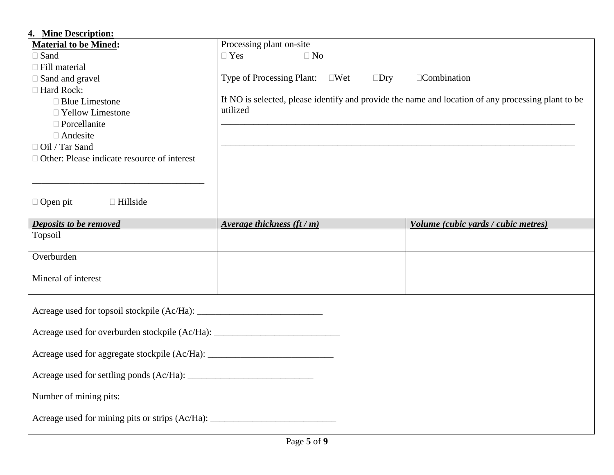| 4. Mine Description:                                                              |                                                                                                    |                                     |
|-----------------------------------------------------------------------------------|----------------------------------------------------------------------------------------------------|-------------------------------------|
| <b>Material to be Mined:</b>                                                      | Processing plant on-site                                                                           |                                     |
| $\square$ Sand                                                                    | $\Box$ Yes<br>$\Box$ No                                                                            |                                     |
| $\Box$ Fill material                                                              |                                                                                                    |                                     |
| $\Box$ Sand and gravel                                                            | Type of Processing Plant: □Wet<br>$\square$ Dry                                                    | □Combination                        |
| □ Hard Rock:                                                                      |                                                                                                    |                                     |
| $\Box$ Blue Limestone                                                             | If NO is selected, please identify and provide the name and location of any processing plant to be |                                     |
| □ Yellow Limestone                                                                | utilized                                                                                           |                                     |
| $\Box$ Porcellanite                                                               |                                                                                                    |                                     |
| □ Andesite                                                                        |                                                                                                    |                                     |
| □ Oil / Tar Sand                                                                  |                                                                                                    |                                     |
| $\Box$ Other: Please indicate resource of interest                                |                                                                                                    |                                     |
|                                                                                   |                                                                                                    |                                     |
|                                                                                   |                                                                                                    |                                     |
| $\Box$ Open pit<br>$\Box$ Hillside                                                |                                                                                                    |                                     |
|                                                                                   |                                                                                                    |                                     |
| Deposits to be removed                                                            | Average thickness $(\text{ft}/\text{m})$                                                           | Volume (cubic yards / cubic metres) |
|                                                                                   |                                                                                                    |                                     |
| Topsoil                                                                           |                                                                                                    |                                     |
|                                                                                   |                                                                                                    |                                     |
| Overburden                                                                        |                                                                                                    |                                     |
|                                                                                   |                                                                                                    |                                     |
| Mineral of interest                                                               |                                                                                                    |                                     |
|                                                                                   |                                                                                                    |                                     |
|                                                                                   |                                                                                                    |                                     |
|                                                                                   |                                                                                                    |                                     |
|                                                                                   |                                                                                                    |                                     |
| Acreage used for overburden stockpile (Ac/Ha): __________________________________ |                                                                                                    |                                     |
| Acreage used for aggregate stockpile (Ac/Ha): ___________________________________ |                                                                                                    |                                     |
|                                                                                   |                                                                                                    |                                     |
|                                                                                   |                                                                                                    |                                     |
|                                                                                   |                                                                                                    |                                     |
| Number of mining pits:                                                            |                                                                                                    |                                     |
|                                                                                   |                                                                                                    |                                     |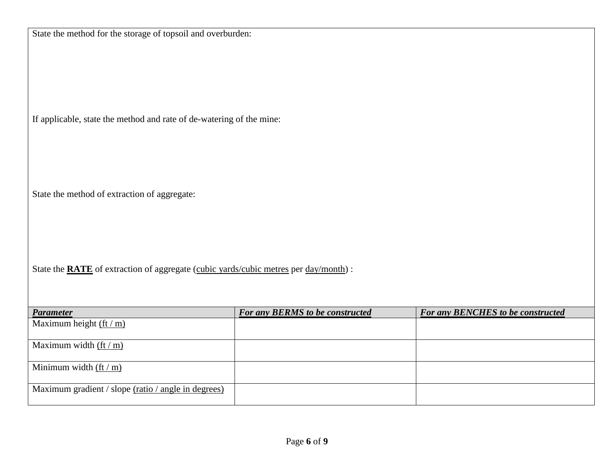| State the method for the storage of topsoil and overburden:                                 |                                 |                                          |  |  |  |
|---------------------------------------------------------------------------------------------|---------------------------------|------------------------------------------|--|--|--|
|                                                                                             |                                 |                                          |  |  |  |
|                                                                                             |                                 |                                          |  |  |  |
|                                                                                             |                                 |                                          |  |  |  |
|                                                                                             |                                 |                                          |  |  |  |
|                                                                                             |                                 |                                          |  |  |  |
| If applicable, state the method and rate of de-watering of the mine:                        |                                 |                                          |  |  |  |
|                                                                                             |                                 |                                          |  |  |  |
|                                                                                             |                                 |                                          |  |  |  |
|                                                                                             |                                 |                                          |  |  |  |
|                                                                                             |                                 |                                          |  |  |  |
| State the method of extraction of aggregate:                                                |                                 |                                          |  |  |  |
|                                                                                             |                                 |                                          |  |  |  |
|                                                                                             |                                 |                                          |  |  |  |
|                                                                                             |                                 |                                          |  |  |  |
|                                                                                             |                                 |                                          |  |  |  |
| State the <b>RATE</b> of extraction of aggregate (cubic yards/cubic metres per day/month) : |                                 |                                          |  |  |  |
|                                                                                             |                                 |                                          |  |  |  |
| <b>Parameter</b>                                                                            | For any BERMS to be constructed | <b>For any BENCHES to be constructed</b> |  |  |  |
| Maximum height (ft / m)                                                                     |                                 |                                          |  |  |  |
| Maximum width $(\text{ft}/\text{m})$                                                        |                                 |                                          |  |  |  |
|                                                                                             |                                 |                                          |  |  |  |
| Minimum width $(\text{ft}/\text{m})$                                                        |                                 |                                          |  |  |  |
| Maximum gradient / slope (ratio / angle in degrees)                                         |                                 |                                          |  |  |  |
|                                                                                             |                                 |                                          |  |  |  |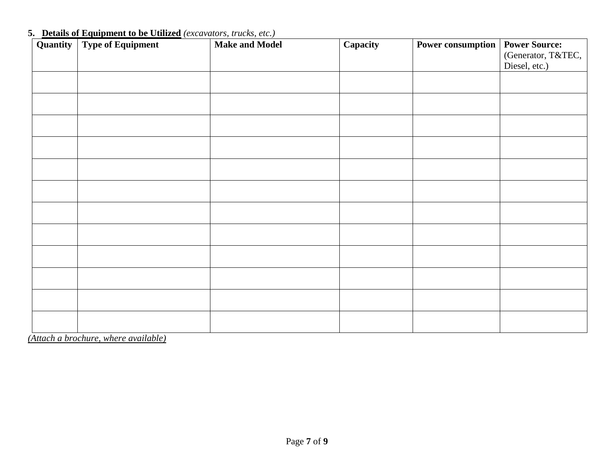| Quantity | <b>Type of Equipment</b> | <b>Make and Model</b> | Capacity | <b>Power consumption</b> | <b>Power Source:</b> |
|----------|--------------------------|-----------------------|----------|--------------------------|----------------------|
|          |                          |                       |          |                          | (Generator, T&TEC,   |
|          |                          |                       |          |                          | Diesel, etc.)        |
|          |                          |                       |          |                          |                      |
|          |                          |                       |          |                          |                      |
|          |                          |                       |          |                          |                      |
|          |                          |                       |          |                          |                      |
|          |                          |                       |          |                          |                      |
|          |                          |                       |          |                          |                      |
|          |                          |                       |          |                          |                      |
|          |                          |                       |          |                          |                      |
|          |                          |                       |          |                          |                      |
|          |                          |                       |          |                          |                      |
|          |                          |                       |          |                          |                      |
|          |                          |                       |          |                          |                      |
|          |                          |                       |          |                          |                      |
|          |                          |                       |          |                          |                      |
|          |                          |                       |          |                          |                      |
|          |                          |                       |          |                          |                      |
|          |                          |                       |          |                          |                      |
|          |                          |                       |          |                          |                      |
|          |                          |                       |          |                          |                      |
|          |                          |                       |          |                          |                      |
|          |                          |                       |          |                          |                      |
|          |                          |                       |          |                          |                      |

### **5. Details of Equipment to be Utilized** *(excavators, trucks, etc.)*

*(Attach a brochure, where available)*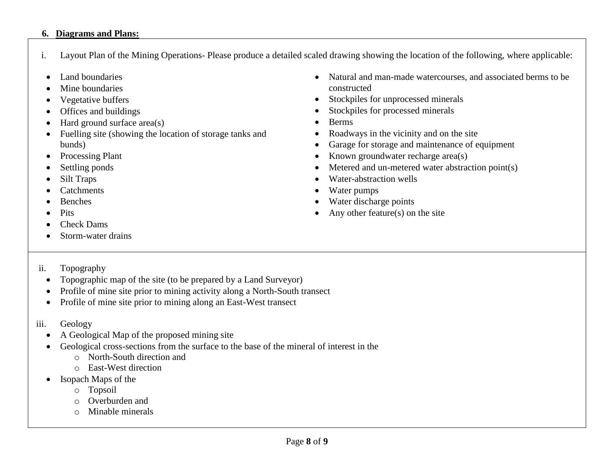#### **6. Diagrams and Plans:**

- i. Layout Plan of the Mining Operations- Please produce a detailed scaled drawing showing the location of the following, where applicable:
- Land boundaries
- Mine boundaries
- Vegetative buffers
- Offices and buildings
- $\bullet$  Hard ground surface area(s)
- Fuelling site (showing the location of storage tanks and bunds)
- Processing Plant
- Settling ponds
- Silt Traps
- **Catchments**
- Benches
- Pits
- Check Dams
- Storm-water drains
- Natural and man-made watercourses, and associated berms to be constructed
- Stockpiles for unprocessed minerals
- Stockpiles for processed minerals
- Berms
- Roadways in the vicinity and on the site
- Garage for storage and maintenance of equipment
- Known groundwater recharge area(s)
- Metered and un-metered water abstraction point(s)
- Water-abstraction wells
- Water pumps
- Water discharge points
- Any other feature(s) on the site

- ii. Topography
	- Topographic map of the site (to be prepared by a Land Surveyor)
	- Profile of mine site prior to mining activity along a North-South transect
	- Profile of mine site prior to mining along an East-West transect
- iii. Geology
	- A Geological Map of the proposed mining site
	- Geological cross-sections from the surface to the base of the mineral of interest in the
		- o North-South direction and
		- o East-West direction
	- Isopach Maps of the
		- o Topsoil
		- o Overburden and
		- o Minable minerals